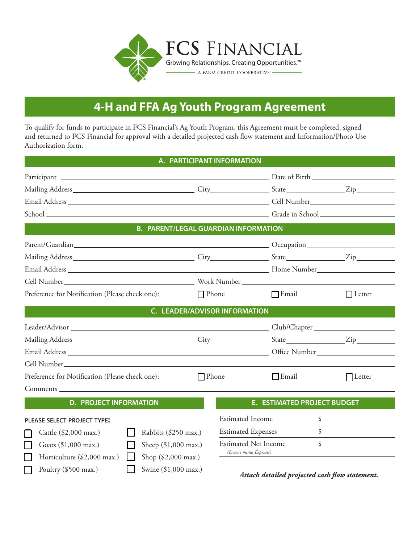

# **4-H and FFA Ag Youth Program Agreement**

To qualify for funds to participate in FCS Financial's Ag Youth Program, this Agreement must be completed, signed and returned to FCS Financial for approval with a detailed projected cash flow statement and Information/Photo Use Authorization form.

## **A. PARTICIPANT INFORMATION**

| <b>B. PARENT/LEGAL GUARDIAN INFORMATION</b>                     |              |                                      |                                    |                |
|-----------------------------------------------------------------|--------------|--------------------------------------|------------------------------------|----------------|
|                                                                 |              |                                      |                                    |                |
|                                                                 |              |                                      |                                    |                |
|                                                                 |              |                                      |                                    |                |
|                                                                 |              |                                      |                                    |                |
| Preference for Notification (Please check one):                 | $\Box$ Phone |                                      | $\Box$ Email                       | $\Box$ Letter  |
|                                                                 |              | <b>C. LEADER/ADVISOR INFORMATION</b> |                                    |                |
|                                                                 |              |                                      |                                    |                |
|                                                                 |              |                                      |                                    |                |
|                                                                 |              |                                      |                                    |                |
|                                                                 |              |                                      |                                    |                |
| Preference for Notification (Please check one):<br>$\Box$ Phone |              |                                      | $\Box$ Email                       | $\prod$ Letter |
| Comments                                                        |              |                                      |                                    |                |
| <b>D. PROJECT INFORMATION</b>                                   |              |                                      | <b>E. ESTIMATED PROJECT BUDGET</b> |                |
| <b>PLEASE SELECT PROJECT TYPE:</b>                              |              | <b>Estimated Income</b>              |                                    | Ŝ.             |
| Rabbits (\$250 max.)<br>Cattle (\$2,000 max.)                   |              | <b>Estimated Expenses</b><br>\$      |                                    |                |
| Sheep (\$1,000 max.)<br>Goats $(\$1,000$ max.)                  |              | <b>Estimated Net Income</b><br>\$    |                                    |                |
| Shop (\$2,000 max.)<br>Horticulture (\$2,000 max.)              |              | (Income minus Expenses)              |                                    |                |

Swine  $($1,000$  max.)

Poultry (\$500 max.)

*Attach detailed projected cash flow statement.*